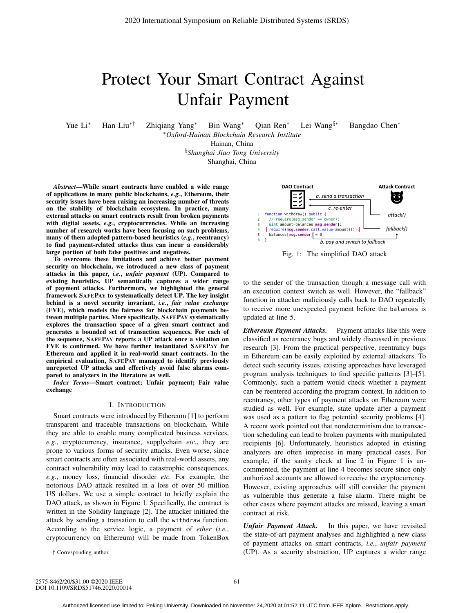# Protect Your Smart Contract Against Unfair Payment

Yue Li<sup>∗</sup> Han Liu∗† Zhiqiang Yang<sup>∗</sup> Bin Wang<sup>∗</sup> Qian Ren<sup>∗</sup> Lei Wang§∗ Bangdao Chen<sup>∗</sup>

∗*Oxford-Hainan Blockchain Research Institute*

Hainan, China

§*Shanghai Jiao Tong University* Shanghai, China

*Abstract*—While smart contracts have enabled a wide range of applications in many public blockchains, *e.g.*, Ethereum, their security issues have been raising an increasing number of threats on the stability of blockchain ecosystem. In practice, many external attacks on smart contracts result from broken payments with digital assets, *e.g.*, cryptocurrencies. While an increasing number of research works have been focusing on such problems, many of them adopted pattern-based heuristics (*e.g.*, reentrancy) to find payment-related attacks thus can incur a considerably large portion of both false positives and negatives.

To overcome these limitations and achieve better payment security on blockchain, we introduced a new class of payment attacks in this paper, *i.e.*, *unfair payment* (UP). Compared to existing heuristics, UP semantically captures a wider range of payment attacks. Furthermore, we highlighted the general framework SAFEPAY to systematically detect UP. The key insight behind is a novel security invariant, *i.e.*, *fair value exchange* (FVE), which models the fairness for blockchain payments between multiple parties. More specifically, SAFEPAY systematically explores the transaction space of a given smart contract and generates a bounded set of transaction sequences. For each of the sequence, SAFEPAY reports a UP attack once a violation on FVE is confirmed. We have further instantiated SAFEPAY for Ethereum and applied it in real-world smart contracts. In the empirical evaluation, SAFEPAY managed to identify previously unreported UP attacks and effectively avoid false alarms compared to analyzers in the literature as well.

*Index Terms*—Smart contract; Unfair payment; Fair value exchange

#### I. INTRODUCTION

Smart contracts were introduced by Ethereum [1] to perform transparent and traceable transactions on blockchain. While they are able to enable many complicated business services, *e.g.*, cryptocurrency, insurance, supplychain *etc.*, they are prone to various forms of security attacks. Even worse, since smart contracts are often associated with real-world assets, any contract vulnerability may lead to catastrophic consequences, *e.g.*, money loss, financial disorder *etc.* For example, the notorious DAO attack resulted in a loss of over 50 million US dollars. We use a simple contract to briefly explain the DAO attack, as shown in Figure 1. Specifically, the contract is written in the Solidity language [2]. The attacker initiated the attack by sending a transation to call the withdraw function. According to the service logic, a payment of *ether* (*i.e.*, cryptocurrency on Ethereum) will be made from TokenBox

† Corresponding author.



Fig. 1: The simplified DAO attack

to the sender of the transaction though a message call with an execution context switch as well. However, the "fallback" function in attacker maliciously calls back to DAO repeatedly to receive more unexpected payment before the balances is updated at line 5.

*Ethereum Payment Attacks.* Payment attacks like this were classified as reentrancy bugs and widely discussed in previous research [3]. From the practical perspective, reentrancy bugs in Ethereum can be easily exploited by external attackers. To detect such security issues, existing approaches have leveraged program analysis techniques to find specific patterns [3]–[5]. Commonly, such a pattern would check whether a payment can be reentered according the program context. In addition to reentrancy, other types of payment attacks on Ethereum were studied as well. For example, state update after a payment was used as a pattern to flag potential security problems [4]. A recent work pointed out that nondeterminism due to transaction scheduling can lead to broken payments with manipulated recipients [6]. Unfortunately, heuristics adopted in existing analyzers are often imprecise in many practical cases. For example, if the sanity check at line 2 in Figure 1 is uncommented, the payment at line 4 becomes secure since only authorized accounts are allowed to receive the cryptocurrency. However, existing approaches will still consider the payment as vulnerable thus generate a false alarm. There might be other cases where payment attacks are missed, leaving a smart contract at risk.

*Unfair Payment Attack.* In this paper, we have revisited the state-of-art payment analyses and highlighted a new class of payment attacks on smart contracts, *i.e.*, *unfair payment* (UP). As a security abstraction, UP captures a wider range

2575-8462/20/\$31.00 ©2020 IEEE DOI 10.1109/SRDS51746.2020.00014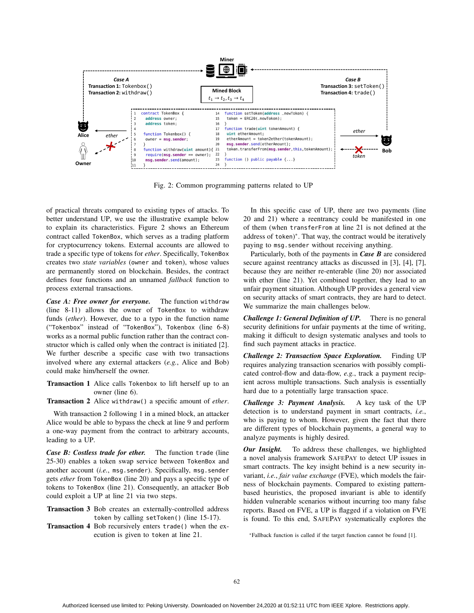

Fig. 2: Common programming patterns related to UP

of practical threats compared to existing types of attacks. To better understand UP, we use the illustrative example below to explain its characteristics. Figure 2 shows an Ethereum contract called TokenBox, which serves as a trading platform for cryptocurrency tokens. External accounts are allowed to trade a specific type of tokens for *ether*. Specifically, TokenBox creates two *state variables* (owner and token), whose values are permanently stored on blockchain. Besides, the contract defines four functions and an unnamed *fallback* function to process external transactions.

*Case A: Free owner for everyone.* The function withdraw (line 8-11) allows the owner of TokenBox to withdraw funds (*ether*). However, due to a typo in the function name ("Tokenbox" instead of "TokenBox"), Tokenbox (line 6-8) works as a normal public function rather than the contract constructor which is called only when the contract is initiated [2]. We further describe a specific case with two transactions involved where any external attackers (*e.g.*, Alice and Bob) could make him/herself the owner.

- Transaction 1 Alice calls Tokenbox to lift herself up to an owner (line 6).
- Transaction 2 Alice withdraw() a specific amount of *ether*.

With transaction 2 following 1 in a mined block, an attacker Alice would be able to bypass the check at line 9 and perform a one-way payment from the contract to arbitrary accounts, leading to a UP.

*Case B: Costless trade for ether.* The function trade (line 25-30) enables a token swap service between TokenBox and another account (*i.e.*, msg.sender). Specifically, msg.sender gets *ether* from TokenBox (line 20) and pays a specific type of tokens to TokenBox (line 21). Consequently, an attacker Bob could exploit a UP at line 21 via two steps.

- Transaction 3 Bob creates an externally-controlled address token by calling setToken() (line 15-17).
- Transaction 4 Bob recursively enters trade() when the execution is given to token at line 21.

In this specific case of UP, there are two payments (line 20 and 21) where a reentrancy could be manifested in one of them (when transferFrom at line 21 is not defined at the address of token)\*. That way, the contract would be iteratively paying to msg.sender without receiving anything.

Particularly, both of the payments in *Case B* are considered secure against reentrancy attacks as discussed in [3], [4], [7], because they are neither re-enterable (line 20) nor associated with ether (line 21). Yet combined together, they lead to an unfair payment situation. Although UP provides a general view on security attacks of smart contracts, they are hard to detect. We summarize the main challenges below.

*Challenge 1: General Definition of UP.* There is no general security definitions for unfair payments at the time of writing, making it difficult to design systematic analyses and tools to find such payment attacks in practice.

*Challenge 2: Transaction Space Exploration.* Finding UP requires analyzing transaction scenarios with possibly complicated control-flow and data-flow, *e.g.*, track a payment recipient across multiple transactions. Such analysis is essentially hard due to a potentially large transaction space.

*Challenge 3: Payment Analysis.* A key task of the UP detection is to understand payment in smart contracts, *i.e.*, who is paying to whom. However, given the fact that there are different types of blockchain payments, a general way to analyze payments is highly desired.

*Our Insight.* To address these challenges, we highlighted a novel analysis framework SAFEPAY to detect UP issues in smart contracts. The key insight behind is a new security invariant, *i.e.*, *fair value exchange* (FVE), which models the fairness of blockchain payments. Compared to existing patternbased heuristics, the proposed invariant is able to identify hidden vulnerable scenarios without incurring too many false reports. Based on FVE, a UP is flagged if a violation on FVE is found. To this end, SAFEPAY systematically explores the

<sup>\*</sup>Fallback function is called if the target function cannot be found [1].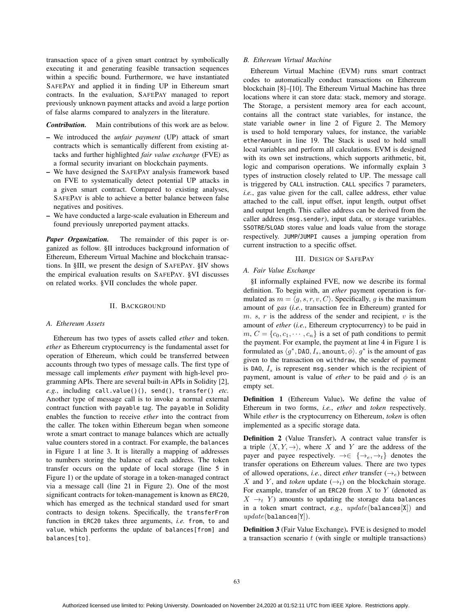transaction space of a given smart contract by symbolically executing it and generating feasible transaction sequences within a specific bound. Furthermore, we have instantiated SAFEPAY and applied it in finding UP in Ethereum smart contracts. In the evaluation, SAFEPAY managed to report previously unknown payment attacks and avoid a large portion of false alarms compared to analyzers in the literature.

*Contribution.* Main contributions of this work are as below.

- We introduced the *unfair payment* (UP) attack of smart contracts which is semantically different from existing attacks and further highlighted *fair value exchange* (FVE) as a formal security invariant on blockchain payments.
- We have designed the SAFEPAY analysis framework based on FVE to systematically detect potential UP attacks in a given smart contract. Compared to existing analyses, SAFEPAY is able to achieve a better balance between false negatives and positives.
- We have conducted a large-scale evaluation in Ethereum and found previously unreported payment attacks.

*Paper Organization.* The remainder of this paper is organized as follow. §II introduces background information of Ethereum, Ethereum Virtual Machine and blockchain transactions. In §III, we present the design of SAFEPAY. §IV shows the empirical evaluation results on SAFEPAY. §VI discusses on related works. §VII concludes the whole paper.

# II. BACKGROUND

## *A. Ethereum Assets*

Ethereum has two types of assets called *ether* and token. *ether* as Ethereum cryptocurrency is the fundamental asset for operation of Ethereum, which could be transferred between accounts through two types of message calls. The first type of message call implements *ether* payment with high-level programming APIs. There are several built-in APIs in Solidity [2], *e.g.*, including call.value()(), send(), transfer() *etc.* Another type of message call is to invoke a normal external contract function with payable tag. The payable in Solidity enables the function to receive *ether* into the contract from the caller. The token within Ethereum began when someone wrote a smart contract to manage balances which are actually value counters stored in a contract. For example, the balances in Figure 1 at line 3. It is literally a mapping of addresses to numbers storing the balance of each address. The token transfer occurs on the update of local storage (line 5 in Figure 1) or the update of storage in a token-managed contract via a message call (line 21 in Figure 2). One of the most significant contracts for token-management is known as ERC20, which has emerged as the technical standard used for smart contracts to design tokens. Specifically, the transferFrom function in ERC20 takes three arguments, *i.e.* from, to and value, which performs the update of balances[from] and balances[to].

# *B. Ethereum Virtual Machine*

Ethereum Virtual Machine (EVM) runs smart contract codes to automatically conduct transactions on Ethereum blockchain [8]–[10]. The Ethereum Virtual Machine has three locations where it can store data: stack, memory and storage. The Storage, a persistent memory area for each account, contains all the contract state variables, for instance, the state variable owner in line 2 of Figure 2. The Memory is used to hold temporary values, for instance, the variable etherAmount in line 19. The Stack is used to hold small local variables and perform all calculations. EVM is designed with its own set instructions, which supports arithmetic, bit, logic and comparison operations. We informally explain 3 types of instruction closely related to UP. The message call is triggered by CALL instruction. CALL specifics 7 parameters, *i.e.*, gas value given for the call, callee address, ether value attached to the call, input offset, input length, output offset and output length. This callee address can be derived from the caller address (msg.sender), input data, or storage variables. SSOTRE/SLOAD stores value and loads value from the storage respectively. JUMP/JUMPI causes a jumping operation from current instruction to a specific offset.

## III. DESIGN OF SAFEPAY

## *A. Fair Value Exchange*

§I informally explained FVE, now we describe its formal definition. To begin with, an *ether* payment operation is formulated as  $m = \langle g, s, r, v, C \rangle$ . Specifically, g is the maximum<br>amount of gas (i.e., transaction fee in Ethereum) granted for amount of *gas* (*i.e.*, transaction fee in Ethereum) granted for m. s, r is the address of the sender and recipient,  $v$  is the amount of *ether* (*i.e.*, Ethereum cryptocurrency) to be paid in  $m, C = \{c_0, c_1, \dots, c_n\}$  is a set of path conditions to permit the payment. For example, the payment at line 4 in Figure 1 is formulated as  $\langle g^*, DAO, I_s, \text{amount}, \phi \rangle$ .  $g^*$  is the amount of gas given to the transaction on withdraw the sender of payment given to the transaction on withdraw, the sender of payment is DAO,  $I_s$  is represent msg.sender which is the recipient of payment, amount is value of *ether* to be paid and  $\phi$  is an empty set.

Definition 1 (Ethereum Value). We define the value of Ethereum in two forms, *i.e.*, *ether* and *token* respectively. While *ether* is the cryptocurrency on Ethereum, *token* is often implemented as a specific storage data.

Definition 2 (Value Transfer). A contract value transfer is a triple  $\langle X, Y, \rightarrow \rangle$ , where X and Y are the address of the payer and payer repectively  $\rightarrow \subseteq \longrightarrow \longrightarrow$  denotes the payer and payee respectively.  $\rightarrow \in \{\rightarrow_e, \rightarrow_t\}$  denotes the transfer operations on Ethereum values. There are two types of allowed operations, *i.e.*, direct *ether* transfer  $(\rightarrow_e)$  between X and Y, and *token* update  $(\rightarrow_t)$  on the blockchain storage. For example, transfer of an ERC20 from  $X$  to  $Y$  (denoted as  $X \rightarrow_t Y$  amounts to updating the storage data balances in a token smart contract, *e.g.*, update(balances[X]) and  $update(balances[Y]).$ 

Definition 3 (Fair Value Exchange). FVE is designed to model a transaction scenario  $t$  (with single or multiple transactions)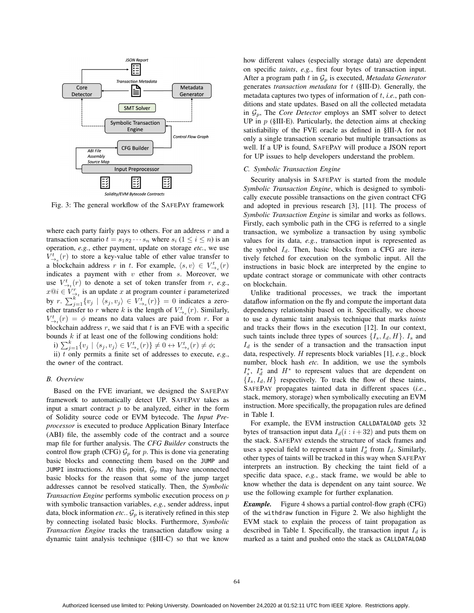

Fig. 3: The general workflow of the SAFEPAY framework

where each party fairly pays to others. For an address  $r$  and a transaction scenario  $t = s_1 s_2 \cdots s_n$  where  $s_i$   $(1 \le i \le n)$  is an operation, *e.g.*, ether payment, update on storage *etc.*, we use  $V_{-\infty}^{t}$  (r) to store a key-value table of ether value transfer to  $V_{-\infty}^{t}$  (r) to store a key-value table of ether value transfer to a blockchain address r in t. For example,  $\langle s, v \rangle \in V_{\rightarrow e}^t(r)$ <br>indicates a payment with v ether from s Moreover we indicates a payment with  $v$  ether from  $s$ . Moreover, we use  $V_{\rightarrow t}^t(r)$  to denote a set of token transfer from r, e.g.,<br> $x \oplus i \in V^r$  is an undate r at program counter *i* parameterized  $x@i \in V_{-i}^k$  is an update x at program counter *i* parameterized<br>by  $x \sum_{k=1}^{k} (x + (x - x) \in V_k^k(x)) = 0$  indicates a zero by  $r \n\sum_{j=1}^{k} \{v_j \mid (s_j, v_j) \in V_{-k}^{\mathfrak{t}}(r)\} = 0$  indicates a zero-<br>ether transfer to x where k is the length of  $V^{\mathfrak{t}}(r)$ . Similarly ether transfer to r where k is the length of  $V_{\to e}^t(r)$ . Similarly,<br>  $V^t(r) = \phi$  means no data values are paid from r. For a  $V_{-t}^{t}(r) = \phi$  means no data values are paid from r. For a blockchain address r we said that t is an EVE with a specific blockchain address  $r$ , we said that  $t$  is an FVE with a specific bounds  $k$  if at least one of the following conditions hold:

i)  $\sum_{j=1}^{k} \{v_j \mid \langle s_j, v_j \rangle \in V_{\rightarrow_e}^t(r)\} \neq 0 \leftrightarrow V_{\rightarrow_e}^t(r) \neq \phi;$ <br>ii) t only permits a finite set of addresses to execute

ii) t only permits a finite set of addresses to execute,  $e.g.,$ <br> $\therefore$  owner of the contract the owner of the contract.

#### *B. Overview*

Based on the FVE invariant, we designed the SAFEPAY framework to automatically detect UP. SAFEPAY takes as input a smart contract  $p$  to be analyzed, either in the form of Solidity source code or EVM bytecode. The *Input Preprocessor* is executed to produce Application Binary Interface (ABI) file, the assembly code of the contract and a source map file for further analysis. The *CFG Builder* constructs the control flow graph (CFG)  $\mathcal{G}_p$  for p. This is done via generating basic blocks and connecting them based on the JUMP and JUMPI instructions. At this point,  $\mathcal{G}_p$  may have unconnected basic blocks for the reason that some of the jump target addresses cannot be resolved statically. Then, the *Symbolic Transaction Engine* performs symbolic execution process on p with symbolic transaction variables, *e.g.*, sender address, input data, block information *etc.*.  $\mathcal{G}_p$  is iteratively refined in this step by connecting isolated basic blocks. Furthermore, *Symbolic Transaction Engine* tracks the transaction dataflow using a dynamic taint analysis technique (§III-C) so that we know

how different values (especially storage data) are dependent on specific *taints*, *e.g.*, first four bytes of transaction input. After a program path t in  $\mathcal{G}_p$  is executed, *Metadata Generator* generates *transaction metadata* for t (§III-D). Generally, the metadata captures two types of information of t, *i.e.*, path conditions and state updates. Based on all the collected metadata in  $\mathcal{G}_p$ , The *Core Detector* employs an SMT solver to detect UP in  $p$  (§III-E). Particularly, the detection aims at checking satisfiability of the FVE oracle as defined in §III-A for not only a single transaction scenario but multiple transactions as well. If a UP is found, SAFEPAY will produce a JSON report for UP issues to help developers understand the problem.

## *C. Symbolic Transaction Engine*

Security analysis in SAFEPAY is started from the module *Symbolic Transaction Engine*, which is designed to symbolically execute possible transactions on the given contract CFG and adopted in previous research [3], [11]. The process of *Symbolic Transaction Engine* is similar and works as follows. Firstly, each symbolic path in the CFG is referred to a single transaction, we symbolize a transaction by using symbolic values for its data, *e.g.*, transaction input is represented as the symbol  $I_d$ . Then, basic blocks from a CFG are iteratively fetched for execution on the symbolic input. All the instructions in basic block are interpreted by the engine to update contract storage or communicate with other contracts on blockchain.

Unlike traditional processes, we track the important dataflow information on the fly and compute the important data dependency relationship based on it. Specifically, we choose to use a dynamic taint analysis technique that marks *taints* and tracks their flows in the execution [12]. In our context, such taints include three types of sources  $\{I_s, I_d, H\}$ .  $I_s$  and  $I_d$  is the sender of a transaction and the transaction input data, respectively. H represents block variables [1], *e.g.*, block number, block hash *etc.* In addition, we use the symbols  $I_s^*$ ,  $I_d^*$  and  $H^*$  to represent values that are dependent on  $I_t$ ,  $H_t$  respectively. To track the flow of these taints  ${I_s, I_d, H}$  respectively. To track the flow of these taints, SAFEPAY propagates tainted data in different spaces (*i.e.*, stack, memory, storage) when symbolically executing an EVM instruction. More specifically, the propagation rules are defined in Table I.

For example, the EVM instruction CALLDATALOAD gets 32 bytes of transaction input data  $I_d(i : i+32)$  and puts them on the stack. SAFEPAY extends the structure of stack frames and uses a special field to represent a taint  $I_d^*$  from  $I_d$ . Similarly, other types of taints will be tracked in this way when  $S_A E E P_A Y$ other types of taints will be tracked in this way when SAFEPAY interprets an instruction. By checking the taint field of a specific data space, *e.g.*, stack frame, we would be able to know whether the data is dependent on any taint source. We use the following example for further explanation.

*Example.* Figure 4 shows a partial control-flow graph (CFG) of the withdraw function in Figure 2. We also highlight the EVM stack to explain the process of taint propagation as described in Table I. Specifically, the transaction input  $I_d$  is marked as a taint and pushed onto the stack as CALLDATALOAD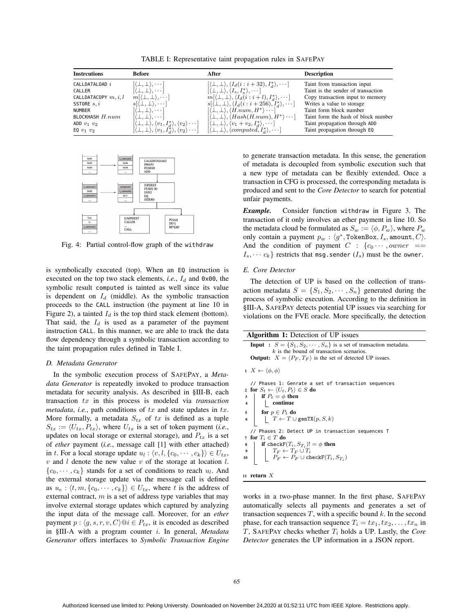TABLE I: Representative taint propagation rules in SAFEPAY

| <b>Instrcutions</b>      | <b>Before</b>                                                                            | After                                                                                                                                                                  | <b>Description</b>                  |
|--------------------------|------------------------------------------------------------------------------------------|------------------------------------------------------------------------------------------------------------------------------------------------------------------------|-------------------------------------|
| CALLDATALOAD i           | $[\langle \perp, \perp \rangle, \cdots]$                                                 | $[\langle \perp, \perp \rangle, \langle I_d(i:i+32), I_d^* \rangle, \cdots]$                                                                                           | Taint from transaction input        |
| CALLER                   | $[(\perp, \perp), \cdots]$                                                               | $[\langle \perp, \perp \rangle, \langle I_s, I_s^* \rangle, \cdots]$                                                                                                   | Taint is the sender of transaction  |
| CALLDATACOPY $m, i, l$   | $m[\langle \perp, \perp \rangle, \cdots]$                                                | $m[\langle \perp, \perp \rangle, \langle I_d(i:i+l), I_d^* \rangle, \cdots]$                                                                                           | Copy transaction input to memory    |
| SSTORE $s, i$            | $s(\perp,\perp),\cdots$                                                                  | $s(\perp,\perp), \langle I_d(i:i+256), I_d^*\rangle, \cdots]$                                                                                                          | Writes a value to storage           |
| <b>NUMBER</b>            | $[\langle \perp, \perp \rangle, \cdots]$                                                 | $[\langle \perp, \perp \rangle, \langle H.num, H^* \rangle \cdots]$                                                                                                    | Taint form block number             |
| <b>BLOCKHASH</b> $H.num$ | $[\langle \perp, \perp \rangle, \cdots]$                                                 | $[\langle \perp, \perp \rangle, \langle Hash(H.num), H^* \rangle \cdots]$                                                                                              | Taint form the hash of block number |
| ADD $v_1$ $v_2$          | $[\langle \perp, \perp \rangle, \langle v_1, I_d^* \rangle, \langle v_2 \rangle \cdots]$ | $[\langle \perp, \perp \rangle, \langle v_1 + v_2, I_d^* \rangle, \cdots]$                                                                                             | Taint propagation through ADD       |
| EQ $v_1$ $v_2$           |                                                                                          | $[\langle \perp, \perp \rangle, \langle v_1, I_d^* \rangle, \langle v_2 \rangle \cdots] \quad [\langle \perp, \perp \rangle, \langle computed, I_d^* \rangle, \cdots]$ | Taint propagation through EQ        |



Fig. 4: Partial control-flow graph of the withdraw

is symbolically executed (top). When an EQ instruction is executed on the top two stack elements, *i.e.*,  $I_d$  and  $0 \times 00$ , the symbolic result computed is tainted as well since its value is dependent on  $I_d$  (middle). As the symbolic transaction proceeds to the CALL instruction (the payment at line 10 in Figure 2), a tainted  $I_d$  is the top third stack element (bottom). That said, the  $I_d$  is used as a parameter of the payment instruction CALL. In this manner, we are able to track the data flow dependency through a symbolic transaction according to the taint propagation rules defined in Table I.

### *D. Metadata Generator*

In the symbolic execution process of SAFEPAY, a *Metadata Generator* is repeatedly invoked to produce transaction metadata for security analysis. As described in §III-B, each transaction tx in this process is modeled via *transaction metadata*, *i.e.*, path conditions of  $tx$  and state updates in  $tx$ . More formally, a metadata  $S_{tx}$  of tx is defined as a tuple  $S_{tx} := \langle U_{tx}, P_{tx} \rangle$ , where  $U_{tx}$  is a set of token payment *(i.e.*, undates on local storage or external storage) and *P<sub>c</sub>* is a set updates on local storage or external storage), and  $P_{tx}$  is a set of *ether* payment (*i.e.*, message call [1] with ether attached) in t. For a local storage update  $u_l : \langle v, l, \{c_0, \dots, c_k\} \rangle \in U_{tx}$ ,<br>v, and I denote the new value v, of the storage at location I  $v$  and  $l$  denote the new value  $v$  of the storage at location  $l$ .  ${c_0, \dots, c_k}$  stands for a set of conditions to reach  $u_l$ . And the external storage update via the message call is defined as  $u_e$ :  $\langle t, m, \{c_0, \dots, c_k\} \rangle \in U_{tx}$ , where t is the address of external contract m is a set of address type variables that may external contract,  $m$  is a set of address type variables that may involve external storage updates which captured by analyzing the input data of the message call. Moreover, for an *ether* payment  $p: \langle g, s, r, v, C \rangle @i \in P_{tx}$ , it is encoded as described<br>in SIILA, with a program counter i. In general, Metadata in §III-A with a program counter i. In general, *Metadata Generator* offers interfaces to *Symbolic Transaction Engine*

to generate transaction metadata. In this sense, the generation of metadata is decoupled from symbolic execution such that a new type of metadata can be flexibly extended. Once a transaction in CFG is processed, the corresponding metadata is produced and sent to the *Core Detector* to search for potential unfair payments.

*Example.* Consider function withdraw in Figure 3. The transaction of it only involves an ether payment in line 10. So the metadata cloud be formulated as  $S_w := \langle \phi, P_w \rangle$ , where  $P_w$ <br>only contain a nayment  $n \to \langle \phi^* \rangle$ . TokenBox L amount  $C \rangle$ only contain a payment  $p_w$ :  $\langle g^*,$  TokenBox,  $I_s$ , amount,  $C \rangle$ . And the condition of payment  $C : \{c_0 \cdots, owner ==$  $I_s, \dots, C_k$  restricts that msg.sender  $(I_s)$  must be the owner.

# *E. Core Detector*

The detection of UP is based on the collection of transaction metadata  $S = \{S_1, S_2, \dots, S_n\}$  generated during the process of symbolic execution. According to the definition in §III-A, SAFEPAY detects potential UP issues via searching for violations on the FVE oracle. More specifically, the detection

| <b>Algorithm 1:</b> Detection of UP issues                                                                                    |
|-------------------------------------------------------------------------------------------------------------------------------|
| <b>Input</b> : $S = \{S_1, S_2, \dots, S_n\}$ is a set of transaction metadata.<br>$k$ is the bound of transaction scenarios. |

**Output:**  $X = \langle P_F, T_F \rangle$  is the set of detected UP issues.

```
1 X \leftarrow \langle \phi, \phi \rangle
```
// Phases 1: Genrate a set of transaction sequences 2 for  $S_t \leftarrow \langle U_t, P_t \rangle \in S$  do  $\begin{array}{c|c} 3 & \text{if } P_t = \phi \text{ then} \\ 4 & \text{continue} \end{array}$  $\hfill\ensuremath{\mathsf{I}}$  continue 5 for  $p \in P_t$  do  $T \leftarrow T \cup \texttt{genTX}(p, S, k)$ // Phases 2: Detect UP in transaction sequences T 7 for  $T_i \in T$  do 8 **if** check $F(T_i, S_{T_i})! = \phi$  then  $T_F \leftarrow T_F \cup T_i$ 10  $P_F \leftarrow P_F \cup \text{checkF}(T_i, S_{T_i})$ 



works in a two-phase manner. In the first phase, SAFEPAY automatically selects all payments and generates a set of transaction sequences  $T$ , with a specific bound  $k$ . In the second phase, for each transaction sequence  $T_i = tx_1, tx_2, \ldots, tx_n$  in  $T$ , SAFEPAY checks whether  $T_i$  holds a UP. Lastly, the *Core Detector* generates the UP information in a JSON report.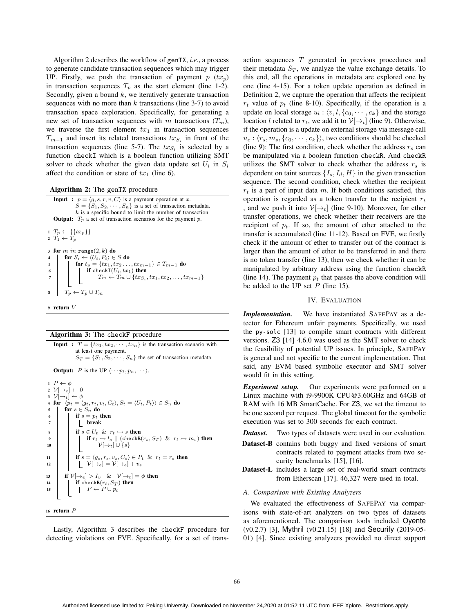Algorithm 2 describes the workflow of genTX, *i.e.*, a process to generate candidate transaction sequences which may trigger UP. Firstly, we push the transaction of payment  $p(x_p)$ in transaction sequences  $T_p$  as the start element (line 1-2). Secondly, given a bound  $k$ , we iteratively generate transaction sequences with no more than  $k$  transactions (line 3-7) to avoid transaction space exploration. Specifically, for generating a new set of transaction sequences with m transactions  $(T_m)$ , we traverse the first element  $tx_1$  in transaction sequences  $T_{m-1}$  and insert its related transactions  $tx_{S_i}$  in front of the transaction sequences (line 5-7). The  $tx_{S_i}$  is selected by a function checkI which is a boolean function utilizing SMT solver to check whether the given data update set  $U_i$  in  $S_i$ affect the condition or state of  $tx_1$  (line 6).

Algorithm 2: The genTX procedure

**Input :**  $p = \langle g, s, r, v, C \rangle$  is a payment operation at *x*.  $S = \{S_1, S_2, \dots, S_n\}$  is a set of transaction metadata. *k* is a specific bound to limit the number of transaction. **Output:**  $T_p$  a set of transaction scenarios for the payment  $p$ . 1  $T_p \leftarrow \{\{tx_p\}\}\$ 2  $T_1 \leftarrow T_p$ 3 for  $m$  in range $(2, k)$  do for  $S_i \leftarrow \langle U_i, P_i \rangle \in S$  do 5 **for**  $t_p = \{tx_1, tx_2, ..., tx_{m-1}\} \in T_{m-1}$  do<br>6 **f** checkI(U<sub>i</sub>, tx<sub>1</sub>) then 6 if checkI $(U_i, tx_1)$  then  $\left[ \right]$ *Tm* ← *Tm* ∪ {*tx<sub>S<sub>i</sub></sub>, tx*<sub>1</sub>*, tx*<sub>2</sub>*,..., tx<sub>m-1</sub>}*  $T_p \leftarrow T_p \cup T_m$ <sup>9</sup> return *V*

| <b>Algorithm 3:</b> The checkF procedure |  |  |  |  |  |
|------------------------------------------|--|--|--|--|--|
|------------------------------------------|--|--|--|--|--|

**Algorithm 3:** The checkF procedure<br>**Input** :  $T = \{tx_1, tx_2, \dots, tx_n\}$  is the transaction scenario with at least one payment.  $S_T = \{S_1, S_2, \cdots, S_n\}$  the set of transaction metadata.

**Output:** *P* is the UP  $\langle \cdots p_t, p_n, \cdots \rangle$ .

1  $P \leftarrow \phi$ 2  $\mathcal{V}[\rightarrow_e] \leftarrow 0$  $3 \quad \mathcal{V}[\rightarrow_t] \leftarrow \phi$ 4 for  $\langle p_t = \langle g_t, r_t, v_t, C_t \rangle, S_t = \langle U_t, P_t \rangle \rangle \in S_n$  do 5 for  $s \in S_n$  do<br>6 if  $s = p_t$  t if  $s = p_t$  then 7 | | <u>|</u> break 8 if  $s \in U_t$  &  $r_t \rightarrow s$  then  $\begin{array}{c|c|c|c|c} \mathbf{9} & \mathbf{if} & \mathbf{r}_t \rightarrow l_s \mid & \text{(checkR}(r_s, S_T) & \& r_t \rightarrow m_s) & \text{then} \end{array}$ 10  $\Big|\Big|$   $\Big|\Big|$   $\Big|$   $\Big|$   $\Big|$   $\Big|$   $\Big|$   $\Big|$   $\Big|$   $\Big|$   $\Big|$   $\Big|$   $\Big|$   $\Big|$   $\Big|$   $\Big|$   $\Big|$   $\Big|$   $\Big|$   $\Big|$   $\Big|$   $\Big|$   $\Big|$   $\Big|$   $\Big|$   $\Big|$   $\Big|$   $\Big|$   $\Big|$   $\Big|$   $\Big|$   $\Big|$   $\Big|$   $\Big|$   $\Big|$   $\Big|$ 11 if  $s = \langle g_s, r_s, v_s, C_s \rangle \in P_t$  &  $r_t = r_s$  then<br>
12  $\qquad \qquad |V| \rightarrow_e | = V| \rightarrow_e | + v_s$  $\lfloor \sqrt{v^2+e} \rfloor = \nu \lfloor \frac{1}{2} + v_s \rfloor$ 13 **if**  $\mathcal{V}[\rightarrow_e] > I_v$  &  $\mathcal{V}[\rightarrow_t] = \phi$  then 14 if checkR $(r_t, S_T)$  then<br>  $\downarrow P \leftarrow P \cup p_t$  $\begin{bmatrix} P \leftarrow P \cup p_t \end{bmatrix}$ <sup>16</sup> return *P*

Lastly, Algorithm 3 describes the checkF procedure for detecting violations on FVE. Specifically, for a set of transaction sequences T generated in previous procedures and their metadata  $S_T$ , we analyze the value exchange details. To this end, all the operations in metadata are explored one by one (line 4-15). For a token update operation as defined in Definition 2, we capture the operation that affects the recipient  $r_t$  value of  $p_t$  (line 8-10). Specifically, if the operation is a update on local storage  $u_l : \langle v, l, \{c_0, \dots, c_k\}$  and the storage<br>location *l* related to  $x_l$ , we add it to  $\mathcal{V}[\rightarrow l]$  (line 9). Otherwise location l related to  $r_t$ , we add it to  $\mathcal{V}[\rightarrow_t]$  (line 9). Otherwise, if the operation is a update on external storage via message call  $u_e: \langle r_s, m_s, \{c_0, \cdots, c_k\} \rangle$ , two conditions should be checked<br>(line 9): The first condition, check whether the address r, can (line 9): The first condition, check whether the address  $r_s$  can be manipulated via a boolean function checkR. And checkR utilizes the SMT solver to check whether the address  $r_s$  is dependent on taint sources  $\{I_s, I_d, H\}$  in the given transaction sequence. The second condition, check whether the recipient  $r_t$  is a part of input data m. If both conditions satisfied, this operation is regarded as a token transfer to the recipient  $r_t$ , and we push it into  $V[\rightarrow_t]$  (line 9-10). Moreover, for ether transfer operations, we check whether their receivers are the recipient of  $p_t$ . If so, the amount of ether attached to the transfer is accumulated (line 11-12). Based on FVE, we firstly check if the amount of ether to transfer out of the contract is larger than the amount of ether to be transferred in and there is no token transfer (line 13), then we check whether it can be manipulated by arbitrary address using the function checkR (line 14). The payment  $p_t$  that passes the above condition will be added to the UP set  $P$  (line 15).

#### IV. EVALUATION

*Implementation.* We have instantiated SAFEPAY as a detector for Ethereum unfair payments. Specifically, we used the py-solc [13] to compile smart contracts with different versions. Z3 [14] 4.6.0 was used as the SMT solver to check the feasibility of potential UP issues. In principle, SAFEPAY is general and not specific to the current implementation. That said, any EVM based symbolic executor and SMT solver would fit in this setting.

*Experiment setup.* Our experiments were performed on a Linux machine with i9-9900K CPU@3.60GHz and 64GB of RAM with 16 MB SmartCache. For Z3, we set the timeout to be one second per request. The global timeout for the symbolic execution was set to 300 seconds for each contract.

- *Dataset.* Two types of datasets were used in our evaluation.
- Dataset-B contains both buggy and fixed versions of smart contracts related to payment attacks from two security benchmarks [15], [16].
- Dataset-L includes a large set of real-world smart contracts from Etherscan [17]. 46,327 were used in total.

# *A. Comparison with Existing Analyzers*

We evaluated the effectiveness of SAFEPAY via comparisons with state-of-art analyzers on two types of datasets as aforementioned. The comparison tools included Oyente (v0.2.7) [3], Mythril (v0.21.15) [18] and Securify (2019-05- 01) [4]. Since existing analyzers provided no direct support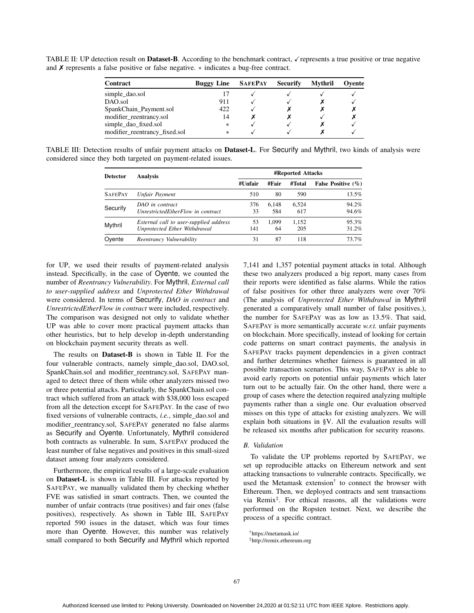Contract Buggy Line SAFEPAY Securify Mythril Oyente simple\_dao.sol 17  $\checkmark$   $\checkmark$   $\checkmark$   $\checkmark$   $\checkmark$   $\checkmark$   $\checkmark$   $\checkmark$   $\checkmark$   $\checkmark$   $\checkmark$   $\checkmark$   $\checkmark$   $\checkmark$   $\checkmark$   $\checkmark$   $\checkmark$   $\checkmark$   $\checkmark$   $\checkmark$   $\checkmark$   $\checkmark$   $\checkmark$   $\checkmark$   $\checkmark$   $\checkmark$   $\checkmark$   $\checkmark$   $\checkmark$   $\checkmark$   $\checkmark$   $\checkmark$   $\checkmark$   $\checkmark$ DAO.sol 911  $\checkmark$   $\checkmark$   $\checkmark$ SpankChain\_Payment.sol 422 ✗ ✗✗ modifier\_reentrancy.sol 14 ✗ ✗ ✗ simple\_dao\_fixed.sol ∗ ✗ modifier\_reentrancy\_fixed.sol

TABLE II: UP detection result on **Dataset-B**. According to the benchmark contract,  $\checkmark$  represents a true positive or true negative and ✗ represents a false positive or false negative. ∗ indicates a bug-free contract.

TABLE III: Detection results of unfair payment attacks on Dataset-L. For Securify and Mythril, two kinds of analysis were considered since they both targeted on payment-related issues.

| <b>Detector</b> | Analysis                                                               | <b>#Reported Attacks</b> |              |              |                        |
|-----------------|------------------------------------------------------------------------|--------------------------|--------------|--------------|------------------------|
|                 |                                                                        | #Unfair                  | #Fair        | #Total       | False Positive $(\% )$ |
| <b>SAFEPAY</b>  | Unfair Payment                                                         | 510                      | 80           | 590          | 13.5%                  |
| Securify        | DAO in contract<br>UnrestrictedEtherFlow in contract                   | 376<br>33                | 6.148<br>584 | 6.524<br>617 | 94.2%<br>94.6%         |
| Mythril         | External call to user-supplied address<br>Unprotected Ether Withdrawal | 53<br>141                | 1.099<br>64  | 1,152<br>205 | 95.3%<br>31.2%         |
| Ovente          | Reentrancy Vulnerability                                               | 31                       | 87           | 118          | 73.7%                  |

for UP, we used their results of payment-related analysis instead. Specifically, in the case of Oyente, we counted the number of *Reentrancy Vulnerability*. For Mythril, *External call to user-supplied address* and *Unprotected Ether Withdrawal* were considered. In terms of Securify, *DAO in contract* and *UnrestrictedEtherFlow in contract* were included, respectively. The comparison was designed not only to validate whether UP was able to cover more practical payment attacks than other heuristics, but to help develop in-depth understanding on blockchain payment security threats as well.

The results on Dataset-B is shown in Table II. For the four vulnerable contracts, namely simple\_dao.sol, DAO.sol, SpankChain.sol and modifier\_reentrancy.sol, SAFEPAY managed to detect three of them while other analyzers missed two or three potential attacks. Particularly, the SpankChain.sol contract which suffered from an attack with \$38,000 loss escaped from all the detection except for SAFEPAY. In the case of two fixed versions of vulnerable contracts, *i.e.*, simple\_dao.sol and modifier\_reentrancy.sol, SAFEPAY generated no false alarms as Securify and Oyente. Unfortunately, Mythril considered both contracts as vulnerable. In sum, SAFEPAY produced the least number of false negatives and positives in this small-sized dataset among four analyzers considered.

Furthermore, the empirical results of a large-scale evaluation on Dataset-L is shown in Table III. For attacks reported by SAFEPAY, we manually validated them by checking whether FVE was satisfied in smart contracts. Then, we counted the number of unfair contracts (true positives) and fair ones (false positives), respectively. As shown in Table III, SAFEPAY reported 590 issues in the dataset, which was four times more than Oyente. However, this number was relatively small compared to both Securify and Mythril which reported

7,141 and 1,357 potential payment attacks in total. Although these two analyzers produced a big report, many cases from their reports were identified as false alarms. While the ratios of false positives for other three analyzers were over 70% (The analysis of *Unprotected Ether Withdrawal* in Mythril generated a comparatively small number of false positives.), the number for SAFEPAY was as low as 13.5%. That said, SAFEPAY is more semantically accurate *w.r.t.* unfair payments on blockchain. More specifically, instead of looking for certain code patterns on smart contract payments, the analysis in SAFEPAY tracks payment dependencies in a given contract and further determines whether fairness is guaranteed in all possible transaction scenarios. This way, SAFEPAY is able to avoid early reports on potential unfair payments which later turn out to be actually fair. On the other hand, there were a group of cases where the detection required analyzing multiple payments rather than a single one. Our evaluation observed misses on this type of attacks for existing analyzers. We will explain both situations in §V. All the evaluation results will be released six months after publication for security reasons.

## *B. Validation*

To validate the UP problems reported by SAFEPAY, we set up reproducible attacks on Ethereum network and sent attacking transactions to vulnerable contracts. Specifically, we used the Metamask extension† to connect the browser with Ethereum. Then, we deployed contracts and sent transactions via Remix‡. For ethical reasons, all the validations were performed on the Ropsten testnet. Next, we describe the process of a specific contract.

†https://metamask.io/

<sup>‡</sup>http://remix.ethereum.org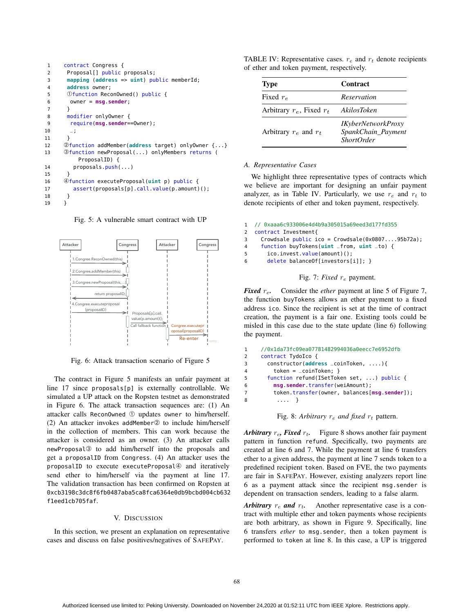```
1 contract Congress {
2 Proposal[] public proposals;
3 mapping (address => uint) public memberId;
4 address owner;
5 Ofunction ReconOwned() public {
6 owner = msg.sender;
7 }
8 modifier onlyOwner {
9 require(msg.sender==Owner);
10 \quad -111 }
12 ➁function addMember(address target) onlyOwner {...}
13 ➂function newProposal(...) onlyMembers returns (
         ProposalID) {
14 proposals.push(...)
15 }
16 ➃function executeProposal(uint p) public {
17 assert(proposals[p].call.value(p.amount)();
18 }
19 }
```
Fig. 5: A vulnerable smart contract with UP



Fig. 6: Attack transaction scenario of Figure 5

The contract in Figure 5 manifests an unfair payment at line 17 since proposals[p] is externally controllable. We simulated a UP attack on the Ropsten testnet as demonstrated in Figure 6. The attack transaction sequences are: (1) An attacker calls ReconOwned ➀ updates owner to him/herself. (2) An attacker invokes addMember② to include him/herself in the collection of members. This can work because the attacker is considered as an owner. (3) An attacker calls newProposal➂ to add him/herself into the proposals and get a proposalID from Congress. (4) An attacker uses the proposalID to execute executeProposal<sup>4</sup> and iteratively send ether to him/herself via the payment at line 17. The validation transaction has been confirmed on Ropsten at 0xcb3198c3dc8f6fb0487aba5ca8fca6364e0db9bcbd004cb632 f1eed1cb705faf.

### V. DISCUSSION

In this section, we present an explanation on representative cases and discuss on false positives/negatives of SAFEPAY.

TABLE IV: Representative cases.  $r_e$  and  $r_t$  denote recipients of ether and token payment, respectively.

| <b>Type</b>                   | Contract                                                             |
|-------------------------------|----------------------------------------------------------------------|
| Fixed $r_e$                   | Reservation                                                          |
| Arbitrary $r_e$ , Fixed $r_t$ | AkilosToken                                                          |
| Arbitrary $r_e$ and $r_t$     | <b>IKyberNetworkProxy</b><br>SpankChain_Payment<br><i>ShortOrder</i> |

#### *A. Representative Cases*

We highlight three representative types of contracts which we believe are important for designing an unfair payment analyzer, as in Table IV. Particularly, we use  $r_e$  and  $r_t$  to denote recipients of ether and token payment, respectively.

```
1 // 0xaaa6c933006e4d4b9a305015a69eed3d177fd355
2 contract Investment{
3 Crowdsale public ico = Crowdsale(0x0807....95b72a);
4 function buyTokens(uint _from, uint _to) {
5 ico.invest.value(amount)();
6 delete balanceOf[investors[i]]; }
```
# Fig. 7: *Fixed*  $r_e$  payment.

*Fixed*  $r_e$ . Consider the *ether* payment at line 5 of Figure 7, the function buyTokens allows an ether payment to a fixed address ico. Since the recipient is set at the time of contract creation, the payment is a fair one. Existing tools could be misled in this case due to the state update (line 6) following the payment.

```
1 //0x1da73fc09ea07781482994036a0eecc7e6952dfb
2 contract TydoIco {
3 constructor(address _coinToken, ....){
4 token = _coinToken; }
5 function refund(ISetToken set, ...) public {
6 msg.sender.transfer(weiAmount);
7 token.transfer(owner, balances[msg.sender]);
8 .... }
```

```
Fig. 8: Arbitrary r_e and fixed r_t pattern.
```
*Arbitrary*  $r_e$ , *Fixed*  $r_t$ . Figure 8 shows another fair payment pattern in function refund. Specifically, two payments are created at line 6 and 7. While the payment at line 6 transfers ether to a given address, the payment at line 7 sends token to a predefined recipient token. Based on FVE, the two payments are fair in SAFEPAY. However, existing analyzers report line 6 as a payment attack since the recipient msg.sender is dependent on transaction senders, leading to a false alarm.

*Arbitrary*  $r_e$  *and*  $r_t$ . Another representative case is a contract with multiple ether and token payments whose recipients are both arbitrary, as shown in Figure 9. Specifically, line 6 transfers *ether* to msg.sender, then a token payment is performed to token at line 8. In this case, a UP is triggered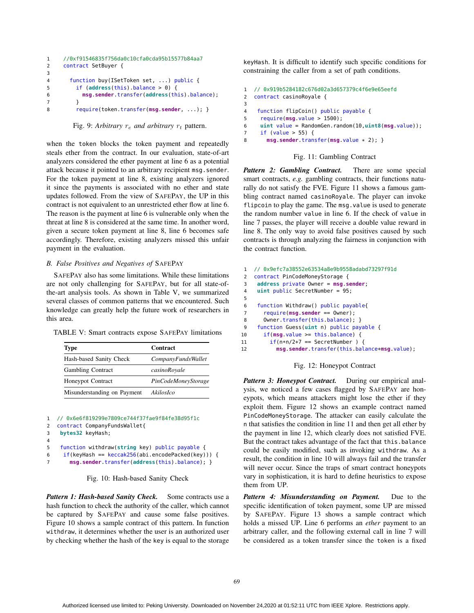```
1 //0xf91546835f756da0c10cfa0cda95b15577b84aa7
2 contract SetBuyer {
3
4 function buy(ISetToken set, ...) public {
5 if (address(this).balance > 0) {
6 msg.sender.transfer(address(this).balance);
7 }
8 require(token.transfer(msg.sender, ...); }
```
Fig. 9: Arbitrary  $r_e$  and arbitrary  $r_t$  pattern.

when the token blocks the token payment and repeatedly steals ether from the contract. In our evaluation, state-of-art analyzers considered the ether payment at line 6 as a potential attack because it pointed to an arbitrary recipient msg.sender. For the token payment at line 8, existing analyzers ignored it since the payments is associated with no ether and state updates followed. From the view of SAFEPAY, the UP in this contract is not equivalent to an unrestricted ether flow at line 6. The reason is the payment at line 6 is vulnerable only when the threat at line 8 is considered at the same time. In another word, given a secure token payment at line 8, line 6 becomes safe accordingly. Therefore, existing analyzers missed this unfair payment in the evaluation.

# *B. False Positives and Negatives of* SAFEPAY

SAFEPAY also has some limitations. While these limitations are not only challenging for SAFEPAY, but for all state-ofthe-art analysis tools. As shown in Table V, we summarized several classes of common patterns that we encountered. Such knowledge can greatly help the future work of researchers in this area.

TABLE V: Smart contracts expose SAFEPAY limitations

| <b>Type</b>                 | Contract            |
|-----------------------------|---------------------|
| Hash-based Sanity Check     | CompanyFundsWallet  |
| <b>Gambling Contract</b>    | casinoRoyale        |
| <b>Honeypot Contract</b>    | PinCodeMoneyStorage |
| Misunderstanding on Payment | AkilosIco           |

```
1 // 0x6e6f819299e7809ce744f37fae9f84fe38d95f1c
2 contract CompanyFundsWallet{
3 bytes32 keyHash;
4
5 function withdraw(string key) public payable {
6 if(keyHash == keccak256(abi.encodePacked(key))) {
7 msg.sender.transfer(address(this).balance); }
```
Fig. 10: Hash-based Sanity Check

Pattern 1: Hash-based Sanity Check. Some contracts use a hash function to check the authority of the caller, which cannot be captured by SAFEPAY and cause some false positives. Figure 10 shows a sample contract of this pattern. In function withdraw, it determines whether the user is an authorized user by checking whether the hash of the key is equal to the storage keyHash. It is difficult to identify such specific conditions for constraining the caller from a set of path conditions.

```
1 // 0x919b5284182c676d02a3d657379c4f6e9e65eefd
2 contract casinoRoyale {
3
4 function flipCoin() public payable {
5 require(msg.value > 1500);
6 uint value = RandomGen.random(10,uint8(msg.value));
7 if (value > 55) {
8 msg.sender.transfer(msg.value * 2); }
```
#### Fig. 11: Gambling Contract

*Pattern 2: Gambling Contract.* There are some special smart contracts, *e.g.* gambling contracts, their functions naturally do not satisfy the FVE. Figure 11 shows a famous gambling contract named casinoRoyale. The player can invoke flipcoin to play the game. The msg.value is used to generate the random number value in line 6. If the check of value in line 7 passes, the player will receive a double value reward in line 8. The only way to avoid false positives caused by such contracts is through analyzing the fairness in conjunction with the contract function.

```
1 // 0x9efc7a38552e63534a8e9b9558adabd73297f91d
2 contract PinCodeMoneyStorage {
3 address private Owner = msg.sender;
4 uint public SecretNumber = 95;
5
6 function Withdraw() public payable{
7 require(msg.sender == Owner);
8 Owner.transfer(this.balance); }
9 function Guess(uint n) public payable {
10 if(msg.value >= this.balance) {
11 if(n*n/2+7 == SecretNumber) {
12 msg.sender.transfer(this.balance+msg.value);
```


Pattern 3: Honeypot Contract. During our empirical analysis, we noticed a few cases flagged by SAFEPAY are honeypots, which means attackers might lose the ether if they exploit them. Figure 12 shows an example contract named PinCodeMoneyStorage. The attacker can easily calculate the n that satisfies the condition in line 11 and then get all ether by the payment in line 12, which clearly does not satisfied FVE. But the contract takes advantage of the fact that this.balance could be easily modified, such as invoking withdraw. As a result, the condition in line 10 will always fail and the transfer will never occur. Since the traps of smart contract honeypots vary in sophistication, it is hard to define heuristics to expose them from UP.

*Pattern 4: Misunderstanding on Payment.* Due to the specific identification of token payment, some UP are missed by SAFEPAY. Figure 13 shows a sample contract which holds a missed UP. Line 6 performs an *ether* payment to an arbitrary caller, and the following external call in line 7 will be considered as a token transfer since the token is a fixed